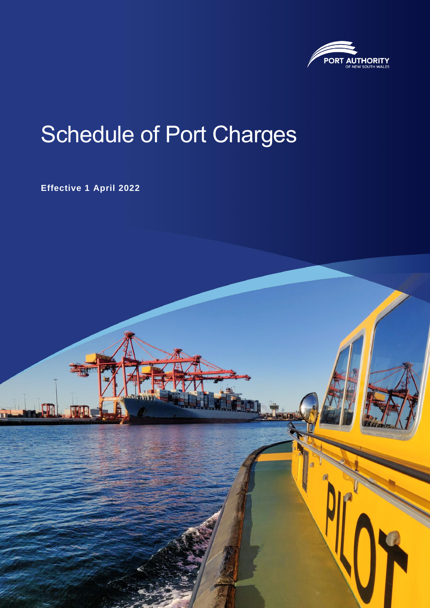

# Schedule of Port Charges

**Effective 1 April 2022**

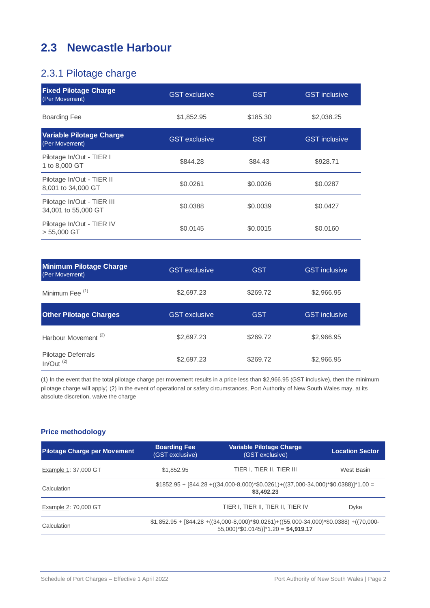## **2.3 Newcastle Harbour**

## 2.3.1 Pilotage charge

| <b>Fixed Pilotage Charge</b><br>(Per Movement)    | <b>GST</b> exclusive | <b>GST</b> | <b>GST</b> inclusive |
|---------------------------------------------------|----------------------|------------|----------------------|
| <b>Boarding Fee</b>                               | \$1,852.95           | \$185.30   | \$2,038.25           |
| <b>Variable Pilotage Charge</b><br>(Per Movement) | <b>GST</b> exclusive | <b>GST</b> | <b>GST</b> inclusive |
| Pilotage In/Out - TIER I<br>1 to 8,000 GT         | \$844.28             | \$84.43    | \$928.71             |
| Pilotage In/Out - TIER II<br>8,001 to 34,000 GT   | \$0.0261             | \$0,0026   | \$0.0287             |
| Pilotage In/Out - TIER III<br>34,001 to 55,000 GT | \$0.0388             | \$0,0039   | \$0.0427             |
| Pilotage In/Out - TIER IV<br>$> 55,000$ GT        | \$0.0145             | \$0,0015   | \$0.0160             |

| <b>Minimum Pilotage Charge</b><br>(Per Movement) | <b>GST</b> exclusive | <b>GST</b> | <b>GST</b> inclusive |
|--------------------------------------------------|----------------------|------------|----------------------|
| Minimum Fee <sup>(1)</sup>                       | \$2,697.23           | \$269.72   | \$2,966.95           |
| <b>Other Pilotage Charges</b>                    | <b>GST</b> exclusive | <b>GST</b> | <b>GST</b> inclusive |
| Harbour Movement <sup>(2)</sup>                  | \$2,697.23           | \$269.72   | \$2,966.95           |
| Pilotage Deferrals<br>In/Out <sup>(2)</sup>      | \$2,697.23           | \$269.72   | \$2,966.95           |

(1) In the event that the total pilotage charge per movement results in a price less than \$2,966.95 (GST inclusive), then the minimum pilotage charge will apply; (2) In the event of operational or safety circumstances, Port Authority of New South Wales may, at its absolute discretion, waive the charge

### **Price methodology**

| <b>Pilotage Charge per Movement</b> | <b>Boarding Fee</b><br>(GST exclusive)                                                                                                                      | <b>Variable Pilotage Charge</b><br>(GST exclusive) | <b>Location Sector</b> |
|-------------------------------------|-------------------------------------------------------------------------------------------------------------------------------------------------------------|----------------------------------------------------|------------------------|
| Example 1: 37,000 GT                | \$1,852.95                                                                                                                                                  | TIER I, TIER II, TIER III                          | West Basin             |
| Calculation                         | $$1852.95 + [844.28 + ((34,000-8,000)*0.0261) + ((37,000-34,000)*0.0388)]$ <sup>*</sup> 1.00 =<br>\$3,492.23                                                |                                                    |                        |
| Example 2: 70,000 GT                |                                                                                                                                                             | TIER I, TIER II, TIER II, TIER IV                  | Dyke                   |
| Calculation                         | $$1,852.95 + [844.28 + ((34,000-8,000)*0.0261) + ((55,000-34,000)*0.0388) + ((70,000-34,000)*0.0388)$<br>$55,000$ <sup>*</sup> \$0.0145)]*1.20 = \$4,919.17 |                                                    |                        |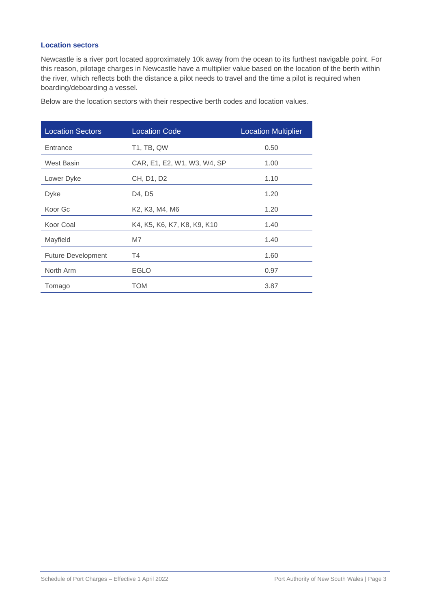#### **Location sectors**

Newcastle is a river port located approximately 10k away from the ocean to its furthest navigable point. For this reason, pilotage charges in Newcastle have a multiplier value based on the location of the berth within the river, which reflects both the distance a pilot needs to travel and the time a pilot is required when boarding/deboarding a vessel.

| <b>Location Sectors</b>   | <b>Location Code</b>        | <b>Location Multiplier</b> |
|---------------------------|-----------------------------|----------------------------|
| Entrance                  | <b>T1, TB, QW</b>           | 0.50                       |
| <b>West Basin</b>         | CAR, E1, E2, W1, W3, W4, SP | 1.00                       |
| Lower Dyke                | CH, D1, D2                  | 1.10                       |
| Dyke                      | D4, D5                      | 1.20                       |
| Koor Gc                   | K2, K3, M4, M6              | 1.20                       |
| Koor Coal                 | K4, K5, K6, K7, K8, K9, K10 | 1.40                       |
| Mayfield                  | M7                          | 1.40                       |
| <b>Future Development</b> | T4                          | 1.60                       |
| North Arm                 | <b>EGLO</b>                 | 0.97                       |
| Tomago                    | <b>TOM</b>                  | 3.87                       |

Below are the location sectors with their respective berth codes and location values.